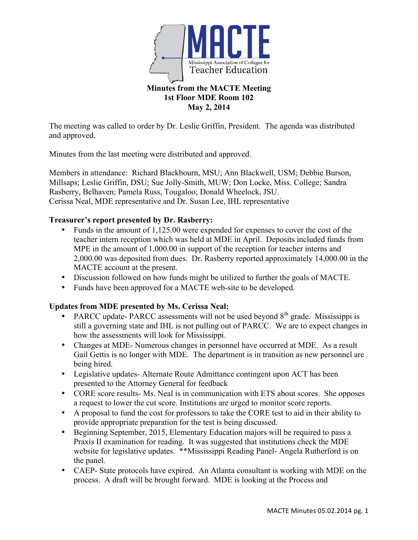

#### **1st Floor MDE Room 102 May 2, 2014**

The meeting was called to order by Dr. Leslie Griffin, President. The agenda was distributed and approved.

Minutes from the last meeting were distributed and approved.

Members in attendance: Richard Blackbourn, MSU; Ann Blackwell, USM; Debbie Burson, Millsaps; Leslie Griffin, DSU; Sue Jolly-Smith, MUW; Don Locke, Miss. College; Sandra Rasberry, Belhaven; Pamela Russ, Tougaloo; Donald Wheelock, JSU. Cerissa Neal, MDE representative and Dr. Susan Lee, IHL representative

# **Treasurer's report presented by Dr. Rasberry:**

- Funds in the amount of 1,125.00 were expended for expenses to cover the cost of the teacher intern reception which was held at MDE in April. Deposits included funds from MPE in the amount of 1,000.00 in support of the reception for teacher interns and 2,000.00 was deposited from dues. Dr. Rasberry reported approximately 14,000.00 in the MACTE account at the present.
- Discussion followed on how funds might be utilized to further the goals of MACTE.
- Funds have been approved for a MACTE web-site to be developed.

# **Updates from MDE presented by Ms. Cerissa Neal:**

- PARCC update- PARCC assessments will not be used beyond  $8<sup>th</sup>$  grade. Mississippi is still a governing state and IHL is not pulling out of PARCC. We are to expect changes in how the assessments will look for Mississippi.
- Changes at MDE- Numerous changes in personnel have occurred at MDE. As a result Gail Gettis is no longer with MDE. The department is in transition as new personnel are being hired.
- Legislative updates- Alternate Route Admittance contingent upon ACT has been presented to the Attorney General for feedback
- CORE score results- Ms. Neal is in communication with ETS about scores. She opposes a request to lower the cut score. Institutions are urged to monitor score reports.
- A proposal to fund the cost for professors to take the CORE test to aid in their ability to provide appropriate preparation for the test is being discussed.
- Beginning September, 2015, Elementary Education majors will be required to pass a Praxis II examination for reading. It was suggested that institutions check the MDE website for legislative updates. \*\*Mississippi Reading Panel- Angela Rutherford is on the panel.
- CAEP- State protocols have expired. An Atlanta consultant is working with MDE on the process. A draft will be brought forward. MDE is looking at the Process and